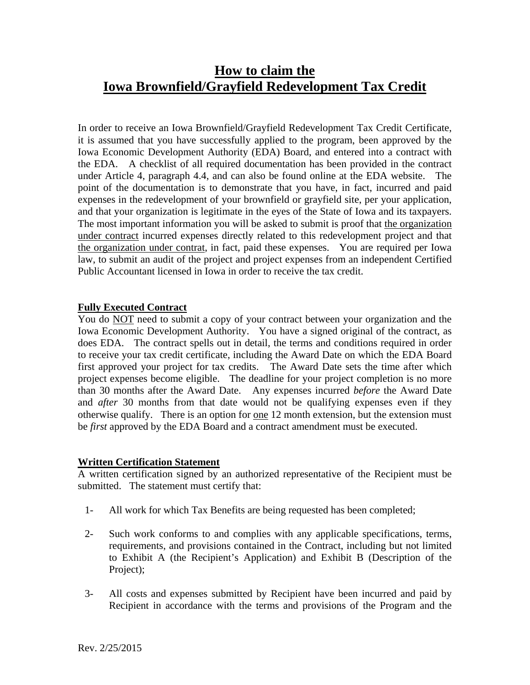# **How to claim the Iowa Brownfield/Grayfield Redevelopment Tax Credit**

In order to receive an Iowa Brownfield/Grayfield Redevelopment Tax Credit Certificate, it is assumed that you have successfully applied to the program, been approved by the Iowa Economic Development Authority (EDA) Board, and entered into a contract with the EDA. A checklist of all required documentation has been provided in the contract under Article 4, paragraph 4.4, and can also be found online at the EDA website. The point of the documentation is to demonstrate that you have, in fact, incurred and paid expenses in the redevelopment of your brownfield or grayfield site, per your application, and that your organization is legitimate in the eyes of the State of Iowa and its taxpayers. The most important information you will be asked to submit is proof that the organization under contract incurred expenses directly related to this redevelopment project and that the organization under contrat, in fact, paid these expenses. You are required per Iowa law, to submit an audit of the project and project expenses from an independent Certified Public Accountant licensed in Iowa in order to receive the tax credit.

## **Fully Executed Contract**

You do NOT need to submit a copy of your contract between your organization and the Iowa Economic Development Authority. You have a signed original of the contract, as does EDA. The contract spells out in detail, the terms and conditions required in order to receive your tax credit certificate, including the Award Date on which the EDA Board first approved your project for tax credits. The Award Date sets the time after which project expenses become eligible. The deadline for your project completion is no more than 30 months after the Award Date. Any expenses incurred *before* the Award Date and *after* 30 months from that date would not be qualifying expenses even if they otherwise qualify. There is an option for one 12 month extension, but the extension must be *first* approved by the EDA Board and a contract amendment must be executed.

## **Written Certification Statement**

A written certification signed by an authorized representative of the Recipient must be submitted. The statement must certify that:

- 1- All work for which Tax Benefits are being requested has been completed;
- 2- Such work conforms to and complies with any applicable specifications, terms, requirements, and provisions contained in the Contract, including but not limited to Exhibit A (the Recipient's Application) and Exhibit B (Description of the Project);
- 3- All costs and expenses submitted by Recipient have been incurred and paid by Recipient in accordance with the terms and provisions of the Program and the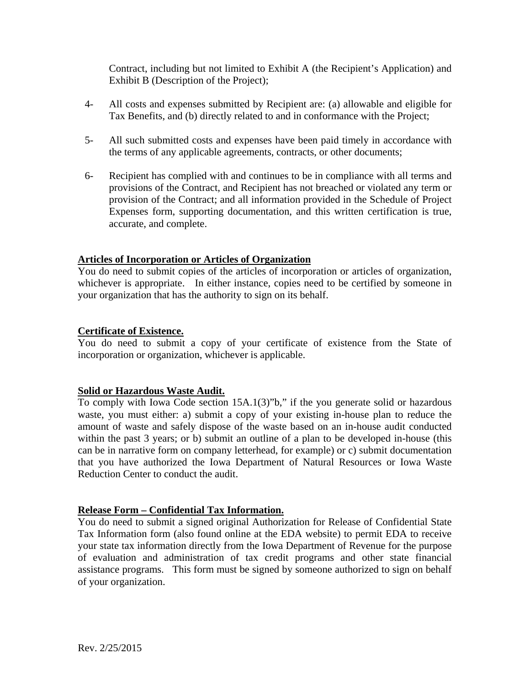Contract, including but not limited to Exhibit A (the Recipient's Application) and Exhibit B (Description of the Project);

- 4- All costs and expenses submitted by Recipient are: (a) allowable and eligible for Tax Benefits, and (b) directly related to and in conformance with the Project;
- 5- All such submitted costs and expenses have been paid timely in accordance with the terms of any applicable agreements, contracts, or other documents;
- 6- Recipient has complied with and continues to be in compliance with all terms and provisions of the Contract, and Recipient has not breached or violated any term or provision of the Contract; and all information provided in the Schedule of Project Expenses form, supporting documentation, and this written certification is true, accurate, and complete.

# **Articles of Incorporation or Articles of Organization**

You do need to submit copies of the articles of incorporation or articles of organization, whichever is appropriate. In either instance, copies need to be certified by someone in your organization that has the authority to sign on its behalf.

# **Certificate of Existence.**

You do need to submit a copy of your certificate of existence from the State of incorporation or organization, whichever is applicable.

## **Solid or Hazardous Waste Audit.**

To comply with Iowa Code section 15A.1(3)"b," if the you generate solid or hazardous waste, you must either: a) submit a copy of your existing in-house plan to reduce the amount of waste and safely dispose of the waste based on an in-house audit conducted within the past 3 years; or b) submit an outline of a plan to be developed in-house (this can be in narrative form on company letterhead, for example) or c) submit documentation that you have authorized the Iowa Department of Natural Resources or Iowa Waste Reduction Center to conduct the audit.

## **Release Form – Confidential Tax Information.**

You do need to submit a signed original Authorization for Release of Confidential State Tax Information form (also found online at the EDA website) to permit EDA to receive your state tax information directly from the Iowa Department of Revenue for the purpose of evaluation and administration of tax credit programs and other state financial assistance programs. This form must be signed by someone authorized to sign on behalf of your organization.